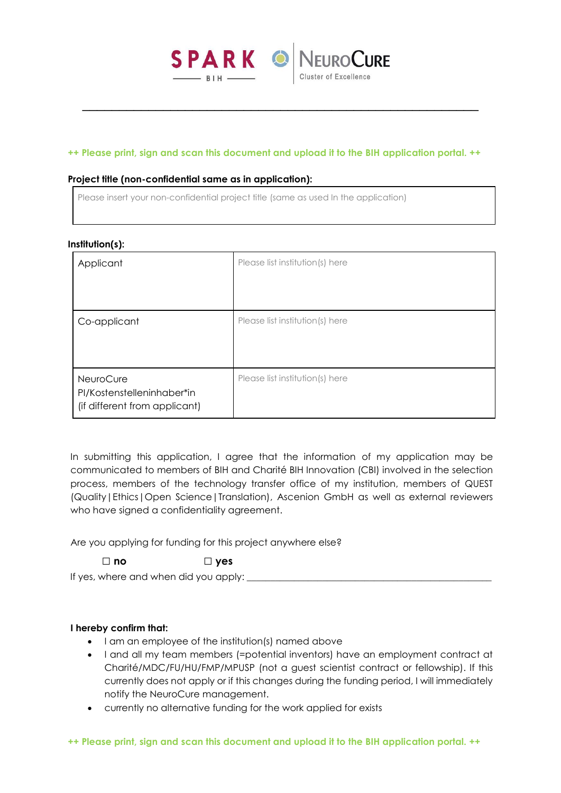

\_\_\_\_\_\_\_\_\_\_\_\_\_\_\_\_\_\_\_\_\_\_\_\_\_\_\_\_\_\_\_\_\_\_\_\_\_\_\_\_\_\_\_\_\_\_\_\_\_\_\_\_\_\_

## **++ Please print, sign and scan this document and upload it to the BIH application portal. ++**

### **Project title (non-confidential same as in application):**

Please insert your non-confidential project title (same as used In the application)

| nstitution(s <i>)</i> :                                                  |                                 |  |
|--------------------------------------------------------------------------|---------------------------------|--|
| Applicant                                                                | Please list institution(s) here |  |
| Co-applicant                                                             | Please list institution(s) here |  |
| NeuroCure<br>PI/Kostenstelleninhaber*in<br>(if different from applicant) | Please list institution(s) here |  |

In submitting this application, I agree that the information of my application may be communicated to members of BIH and Charité BIH Innovation (CBI) involved in the selection process, members of the technology transfer office of my institution, members of QUEST (Quality|Ethics|Open Science|Translation), Ascenion GmbH as well as external reviewers who have signed a confidentiality agreement.

Are you applying for funding for this project anywhere else?

**□ no □ yes**

If yes, where and when did you apply:

## **I hereby confirm that:**

- I am an employee of the institution(s) named above
- I and all my team members (=potential inventors) have an employment contract at Charité/MDC/FU/HU/FMP/MPUSP (not a guest scientist contract or fellowship). If this currently does not apply or if this changes during the funding period, I will immediately notify the NeuroCure management.
- currently no alternative funding for the work applied for exists

# **Institution(s):**